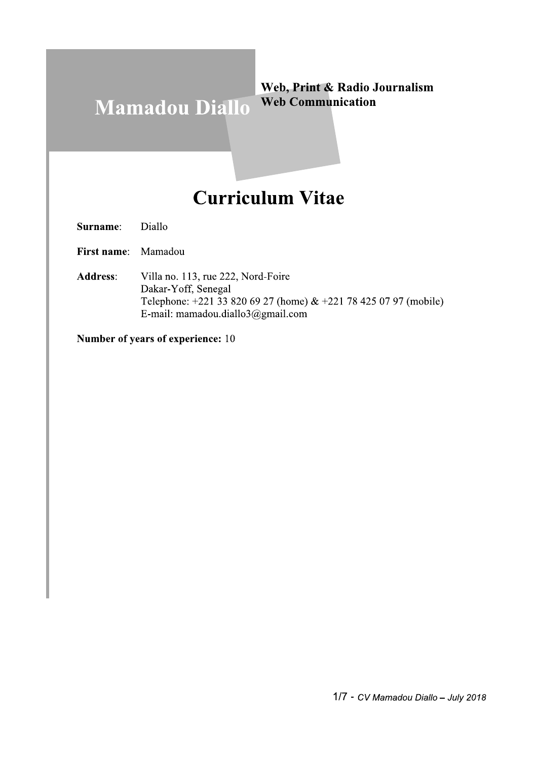#### Web, Print & Radio Journalism **Web Communication Mamadou Diallo**

# **Curriculum Vitae**

Diallo Surname:

First name: Mamadou

Villa no. 113, rue 222, Nord-Foire **Address:** Dakar-Yoff, Senegal Telephone: +221 33 820 69 27 (home) & +221 78 425 07 97 (mobile) E-mail: mamadou.diallo3@gmail.com

Number of years of experience: 10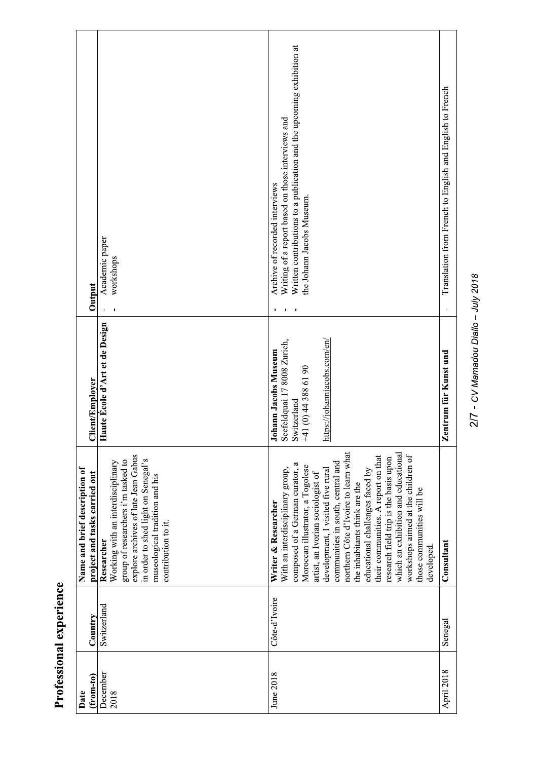| <b><i><u>ANDINAN</u></i></b> |
|------------------------------|
|                              |
|                              |
|                              |
|                              |
|                              |
|                              |
| $\sim$                       |
| į                            |

| Output                                                         | Academic paper<br>workshops<br>$\blacksquare$                                                                                                                                                                                | Written contributions to a publication and the upcoming exhibition at<br>Writing of a report based on those interviews and<br>Archive of recorded interviews<br>the Johann Jacobs Museum.<br>J.                                                                                                                                                                                                                                                                                                                                                                   | Translation from French to English and English to French<br>$\blacksquare$ |
|----------------------------------------------------------------|------------------------------------------------------------------------------------------------------------------------------------------------------------------------------------------------------------------------------|-------------------------------------------------------------------------------------------------------------------------------------------------------------------------------------------------------------------------------------------------------------------------------------------------------------------------------------------------------------------------------------------------------------------------------------------------------------------------------------------------------------------------------------------------------------------|----------------------------------------------------------------------------|
| Client/Employer                                                | laute École d'Art et de Design<br>F                                                                                                                                                                                          | https://johannjacobs.com/en/<br><b>Johann Jacobs Museum</b><br>Seefeldquai 17 8008 Zurich,<br>Switzerland<br>$+41(0)$ 44 388 61 90                                                                                                                                                                                                                                                                                                                                                                                                                                | entrum für Kunst und<br>N                                                  |
| Name and brief description of<br>project and tasks carried out | explore archives of late Jean Gabus<br>in order to shed light on Senegal's<br>group of researchers i'm tasked to<br>Working with an interdisciplinary<br>museological tradition and his<br>contribution to it.<br>Researcher | northern Côte d'Ivoire to learn what<br>which an exhibition and educational<br>workshops aimed at the children of<br>their communities. A report on that<br>research field trip is the basis upon<br>communities in south, central and<br>composed of a German curator, a<br>Moroccan illustrator, a Togolese<br>development, I visited five rural<br>With an interdisciplinary group,<br>educational challenges faced by<br>artist, an Ivorian sociologist of<br>the inhabitants think are the<br>those communities will be<br>Writer & Researcher<br>developed. | Consultant                                                                 |
| Country                                                        | Switzerland                                                                                                                                                                                                                  | Côte-d'Ivoire                                                                                                                                                                                                                                                                                                                                                                                                                                                                                                                                                     | Senegal                                                                    |
| $(from-to)$<br>Date                                            | December<br>2018                                                                                                                                                                                                             | June 2018                                                                                                                                                                                                                                                                                                                                                                                                                                                                                                                                                         | April 2018                                                                 |

2/7 - CV Mamadou Diallo - July 2018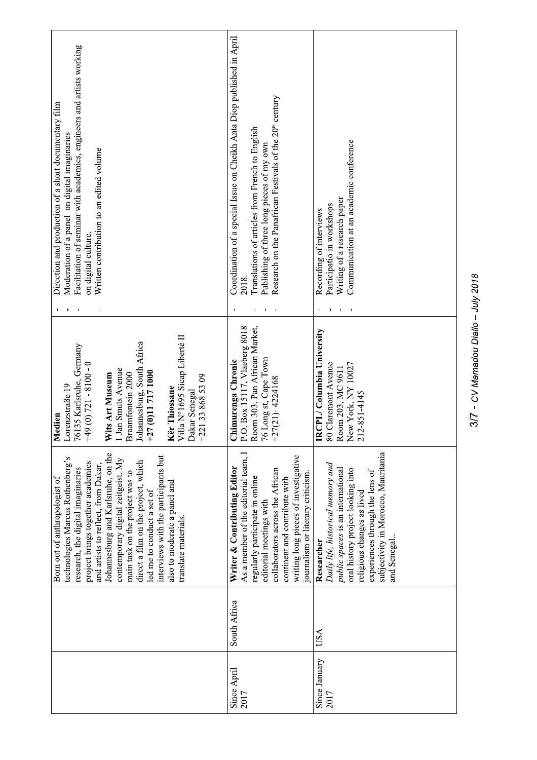| Facilitation of seminar with academics, engineers and artists working<br>Direction and production of a short documentary film<br>Moderation of a panel on digital imaginaries<br>Written contribution to an edited volume<br>on digital culture.                                                                                                                                                                                                                       | Coordination of a special Issue on Cheikh Anta Diop published in April<br>Research on the Panafrican Festivals of the 20 <sup>th</sup> century<br>Translations of articles from French to English<br>Publishing of three long pieces of my own<br>2018.                              | Communication at an academic conference<br>Writing of a research paper<br>Participatio in workshops<br>Recording of interviews                                                                                                                   |
|------------------------------------------------------------------------------------------------------------------------------------------------------------------------------------------------------------------------------------------------------------------------------------------------------------------------------------------------------------------------------------------------------------------------------------------------------------------------|--------------------------------------------------------------------------------------------------------------------------------------------------------------------------------------------------------------------------------------------------------------------------------------|--------------------------------------------------------------------------------------------------------------------------------------------------------------------------------------------------------------------------------------------------|
| Villa N°1695 Sicap Liberté II<br>ohannesburg, South Africa<br>⊦27 (0)11 717 1000<br>6135 Karlsruhe, Gernany<br>$-49(0)$ 721 - 8100 - 0<br>Jan Smuts Avenue<br><b>Nits Art Museum</b><br>Braamfontein 2000<br>$+221$ 33 868 53 09<br>orenzstraße 19<br><b>Kër Thiossane</b><br>Jakar Senegal<br>Medien                                                                                                                                                                  | loom 303, Pan African Market,<br>.O. Box 15117, Vlaeberg 8018<br>6 Long st, Cape Town<br>Chimurenga Chronic<br>$+27(21) - 4224168$                                                                                                                                                   | RCPL/Columbia University<br>80 Claremont Avenue<br>New York, NY 10027<br>Room 203, MC 9611<br>212-851-4145                                                                                                                                       |
| Johannesburg and Karlsruhe, on the<br>interviews with the participants but<br>technologies Marcus Rothenberg's<br>contemporary digital zeitgeist. My<br>direct a film on the project, which<br>project brings together academics<br>and artists to reflect, from Dakar,<br>research, the digital imaginaries<br>main task on the project was to<br>Born out of anthropologist of<br>also to moderate a panel and<br>led me to conduct a set of<br>translate materials. | As a member of the editorial team, I<br>writing long pieces of investigative<br>Writer & Contributing Editor<br>collaborators across the African<br>journalism or literary criticism.<br>regularly participate in online<br>continent and contribute with<br>editorial meetings with | subjectivity in Morocco, Mauritania<br>Daily life, historical memory and<br>public spaces is an international<br>oral history project looking into<br>experiences through the lens of<br>religious changes as lived<br>Researcher<br>and Senegal |
|                                                                                                                                                                                                                                                                                                                                                                                                                                                                        | South Africa                                                                                                                                                                                                                                                                         | USA                                                                                                                                                                                                                                              |
|                                                                                                                                                                                                                                                                                                                                                                                                                                                                        | Since April<br>2017                                                                                                                                                                                                                                                                  | Since January<br>2017                                                                                                                                                                                                                            |

3/7 - CV Mamadou Diallo - July 2018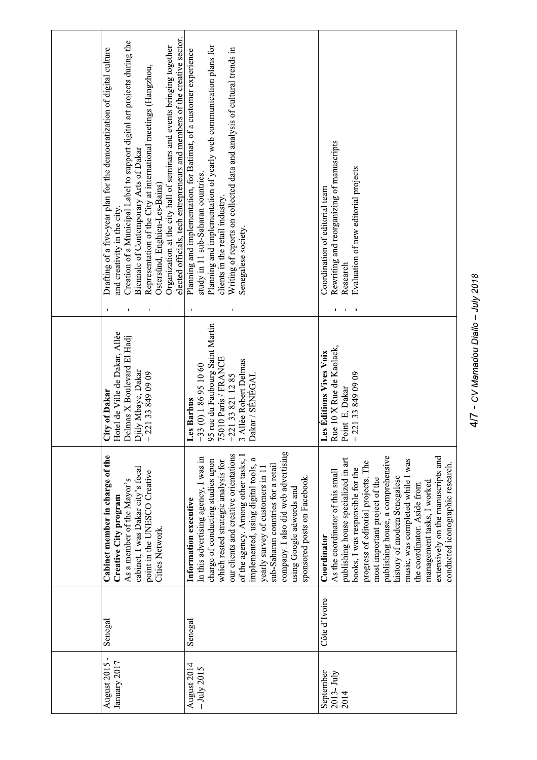| August 2015<br>January 2017        | Senegal       | Cabinet member in charge of the<br>cabinet, I was Dakar city's focal<br>point in the UNESCO Creative<br>As a member of the Mayor's<br>Creative City program<br>Cities Network.                                                                                                                                                                                                                                                                     | Hotel de Ville de Dakar, Allée<br>Delmas X Boulevard El Hadj<br>Djily Mbaye, Dakar<br>221338490909<br>City of Dakar<br>$+$                                           | elected officials, tech entrepreneurs and members of the creative sector.<br>Creation of a Municipal Label to support digital art projects during the<br>Organization at the city hall of seminars and events bringing together<br>Drafting of a five-year plan for the democratization of digital culture<br>Representation of the City at international meetings (Hangzhou,<br>Biennale of Contemporary Arts of Dakar<br>Ostersünd, Enghien-Les-Bains)<br>and creativity in the city.<br>$\pmb{\mathsf{I}}$ |
|------------------------------------|---------------|----------------------------------------------------------------------------------------------------------------------------------------------------------------------------------------------------------------------------------------------------------------------------------------------------------------------------------------------------------------------------------------------------------------------------------------------------|----------------------------------------------------------------------------------------------------------------------------------------------------------------------|---------------------------------------------------------------------------------------------------------------------------------------------------------------------------------------------------------------------------------------------------------------------------------------------------------------------------------------------------------------------------------------------------------------------------------------------------------------------------------------------------------------|
| August 2014<br>$-$ July 2015       | Senegal       | company. I also did web advertising<br>our clients and creative orientations<br>In this advertising agency, I was in<br>of the agency. Among other tasks,<br>implemented, using digital tools, a<br>charge of conducting studies upon<br>which rested strategic analysis for<br>sub-Saharan countries for a retail<br>yearly survey of customers in 11<br>sponsored posts on Facebook.<br>using Google adwords and<br>Information executive        | 95 rue du Faubourg Saint Martin<br>75010 Paris / FRANCE<br>+221 33 821 12 85<br>3 Aliée Robert Delmas<br>33 (0) 186 95 10 60<br>Dakar / SÉNÉGAL<br>Les Barbus<br>$+$ | Planning and implementation of yearly web communication plans for<br>Writing of reports on collected data and analysis of cultural trends in<br>Planning and implementation, for Batimat, of a customer experience<br>study in 11 sub-Saharan countries.<br>clients in the retail industry.<br>Senegalese society.<br>$\mathbf I$<br>$\blacksquare$                                                                                                                                                           |
| September<br>$2013 - July$<br>2014 | Côte d'Ivoire | publishing house, a comprehensive<br>extensively on the manuscripts and<br>publishing house specialized in art<br>music, was completed while I was<br>progress of editorial projects. The<br>conducted iconographic research.<br>books, I was responsible for the<br>As the coordinator of this small<br>history of modern Senegalese<br>most important project of the<br>management tasks, I worked<br>the coordinator. Aside from<br>Coordinator | Rue 10 X Rue de Kaolack,<br>Les Editions Vives Voix<br>221338490909<br>Point E, Dakar<br>$+$                                                                         | Rewriting and reorganizing of manuscripts<br>Evaluation of new editorial projects<br>Coordination of editorial team<br>Research                                                                                                                                                                                                                                                                                                                                                                               |
|                                    |               |                                                                                                                                                                                                                                                                                                                                                                                                                                                    |                                                                                                                                                                      |                                                                                                                                                                                                                                                                                                                                                                                                                                                                                                               |

4/7 - CV Mamadou Diallo - July 2018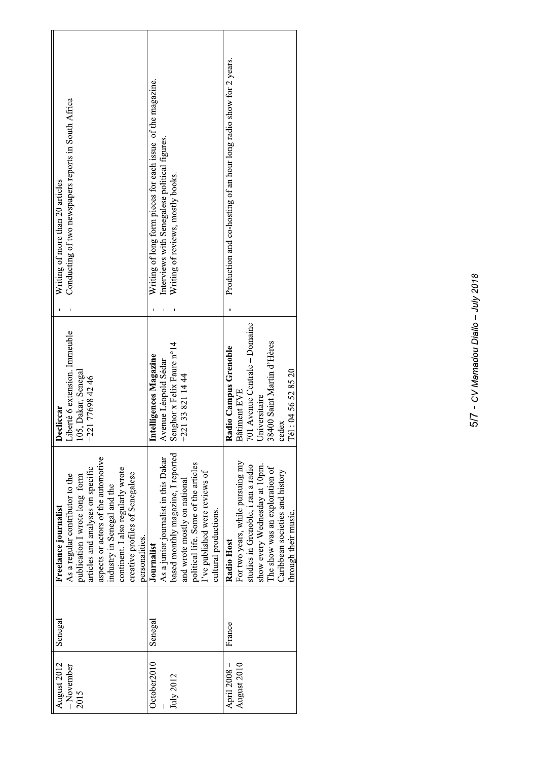| Conducting of two newspapers reports in South Africa<br>Writing of more than 20 articles                                                                                                                                                                                                      | Writing of long form pieces for each issue of the magazine.<br>Interviews with Senegalese political figures.<br>Writing of reviews, mostly books.                                                                           | Production and co-hosting of an hour long radio show for 2 years.                                                                                                                                                  |
|-----------------------------------------------------------------------------------------------------------------------------------------------------------------------------------------------------------------------------------------------------------------------------------------------|-----------------------------------------------------------------------------------------------------------------------------------------------------------------------------------------------------------------------------|--------------------------------------------------------------------------------------------------------------------------------------------------------------------------------------------------------------------|
| Liberté 6 extension. Immeuble<br>105, Dakar, Senegal<br>+221 77698 42 46<br>Decliccar                                                                                                                                                                                                         | Senghor x Felix Faure n°14<br>Intelligences Magazine<br>Avenue Léopold Sédar<br>$+221338211444$                                                                                                                             | 701 Avenue Centrale - Domaine<br>38400 Saint Martin d'Hères<br>Radio Campus Grenoble<br>Tél: 04 56 52 85 20<br>Bâtiment EVE<br>niversitaire<br>cedex                                                               |
| aspects or actors of the automotive<br>articles and analyses on specific<br>continent. I also regularly wrote<br>creative profiles of Senegalese<br>As a regular contributor to the<br>publication I wrote long form<br>industry in Senegal and the<br>Freelance journalist<br>personalities. | based monthly magazine, I reported<br>As a junior journalist in this Dakar<br>political life. Some of the articles<br>I've published were reviews of<br>and wrote mostly on national<br>cultural productions.<br>Journalist | For two years, while pursuing my<br>studies in Grenoble, i ran a radio<br>show every Wednesday at 10pm.<br>The show was an exploration of<br>Caribbean societies and history<br>through their music.<br>Radio Host |
| Senegal                                                                                                                                                                                                                                                                                       | Senegal                                                                                                                                                                                                                     | France                                                                                                                                                                                                             |
| August 2012<br>$-November$<br>2015                                                                                                                                                                                                                                                            | October2010<br>July 2012                                                                                                                                                                                                    | August 2010<br>April 2008 -                                                                                                                                                                                        |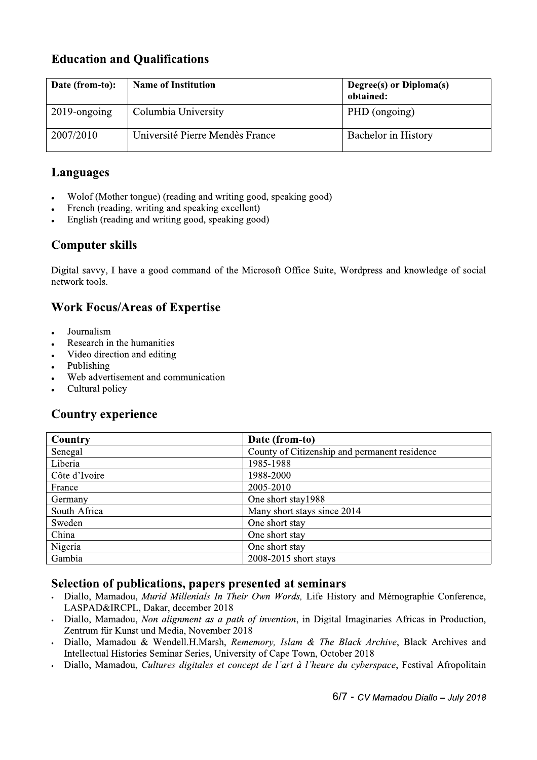# **Education and Qualifications**

| Date (from-to): | <b>Name of Institution</b>      | Degree(s) or Diploma(s)<br>obtained: |
|-----------------|---------------------------------|--------------------------------------|
| $2019$ -ongoing | Columbia University             | PHD (ongoing)                        |
| 2007/2010       | Université Pierre Mendès France | <b>Bachelor</b> in History           |

## **Languages**

- Wolof (Mother tongue) (reading and writing good, speaking good)
- French (reading, writing and speaking excellent)
- English (reading and writing good, speaking good)

# **Computer skills**

Digital savvy, I have a good command of the Microsoft Office Suite, Wordpress and knowledge of social network tools.

## **Work Focus/Areas of Expertise**

- Journalism
- Research in the humanities
- Video direction and editing
- Publishing
- Web advertisement and communication
- Cultural policy

### **Country experience**

| Country       | Date (from-to)                                |
|---------------|-----------------------------------------------|
| Senegal       | County of Citizenship and permanent residence |
| Liberia       | 1985-1988                                     |
| Côte d'Ivoire | 1988-2000                                     |
| France        | 2005-2010                                     |
| Germany       | One short stay1988                            |
| South-Africa  | Many short stays since 2014                   |
| Sweden        | One short stay                                |
| China         | One short stay                                |
| Nigeria       | One short stay                                |
| Gambia        | 2008-2015 short stays                         |

#### Selection of publications, papers presented at seminars

- Diallo, Mamadou, Murid Millenials In Their Own Words, Life History and Mémographie Conference, LASPAD&IRCPL, Dakar, december 2018
- Diallo, Mamadou, Non alignment as a path of invention, in Digital Imaginaries Africas in Production, Zentrum für Kunst und Media, November 2018
- Diallo, Mamadou & Wendell.H.Marsh, Rememory, Islam & The Black Archive, Black Archives and Intellectual Histories Seminar Series, University of Cape Town, October 2018
- Diallo, Mamadou, Cultures digitales et concept de l'art à l'heure du cyberspace, Festival Afropolitain